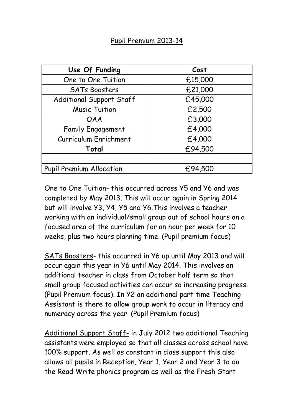| Use Of Funding                  | Cost    |
|---------------------------------|---------|
| One to One Tuition              | £15,000 |
| <b>SATs Boosters</b>            | £21,000 |
| Additional Support Staff        | £45,000 |
| <b>Music Tuition</b>            | £2,500  |
| <b>OAA</b>                      | £3,000  |
| <b>Family Engagement</b>        | £4,000  |
| <b>Curriculum Enrichment</b>    | £4,000  |
| Total                           | £94,500 |
|                                 |         |
| <b>Pupil Premium Allocation</b> | £94,500 |

One to One Tuition- this occurred across Y5 and Y6 and was completed by May 2013. This will occur again in Spring 2014 but will involve Y3, Y4, Y5 and Y6.This involves a teacher working with an individual/small group out of school hours on a focused area of the curriculum for an hour per week for 10 weeks, plus two hours planning time. (Pupil premium focus)

SATs Boosters- this occurred in Y6 up until May 2013 and will occur again this year in Y6 until May 2014. This involves an additional teacher in class from October half term so that small group focused activities can occur so increasing progress. (Pupil Premium focus). In Y2 an additional part time Teaching Assistant is there to allow group work to occur in literacy and numeracy across the year. (Pupil Premium focus)

Additional Support Staff- in July 2012 two additional Teaching assistants were employed so that all classes across school have 100% support. As well as constant in class support this also allows all pupils in Reception, Year 1, Year 2 and Year 3 to do the Read Write phonics program as well as the Fresh Start